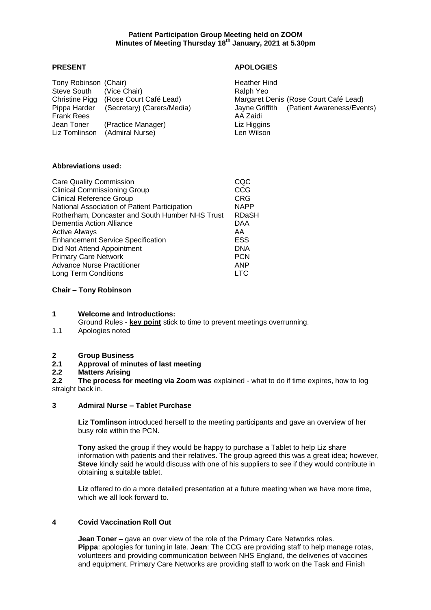# **PRESENT APOLOGIES**

| Tony Robinson (Chair)             |                            | Heather Hind                                          |
|-----------------------------------|----------------------------|-------------------------------------------------------|
| Steve South                       | (Vice Chair)               | Ralph Yeo                                             |
| Christine Pigg                    | (Rose Court Café Lead)     | Margaret Denis (Rose Court Café Lead)                 |
| Pippa Harder<br><b>Frank Rees</b> | (Secretary) (Carers/Media) | Jayne Griffith (Patient Awareness/Events)<br>AA Zaidi |
| Jean Toner                        | (Practice Manager)         | Liz Higgins                                           |
| Liz Tomlinson                     | (Admiral Nurse)            | Len Wilson                                            |

#### **Abbreviations used:**

| <b>Care Quality Commission</b>                  |             |  |
|-------------------------------------------------|-------------|--|
| <b>Clinical Commissioning Group</b>             | CCG         |  |
| <b>Clinical Reference Group</b>                 | <b>CRG</b>  |  |
| National Association of Patient Participation   | <b>NAPP</b> |  |
| Rotherham, Doncaster and South Humber NHS Trust | RDaSH       |  |
| Dementia Action Alliance                        | DAA         |  |
| <b>Active Always</b>                            | AA          |  |
| <b>Enhancement Service Specification</b>        | <b>ESS</b>  |  |
| Did Not Attend Appointment                      | <b>DNA</b>  |  |
| <b>Primary Care Network</b>                     | <b>PCN</b>  |  |
| <b>Advance Nurse Practitioner</b>               | <b>ANP</b>  |  |
| <b>Long Term Conditions</b>                     | LTC         |  |

#### **Chair – Tony Robinson**

# **1 Welcome and Introductions:**

Ground Rules - **key point** stick to time to prevent meetings overrunning.

1.1 Apologies noted

# **2 Group Business**

### **2.1 Approval of minutes of last meeting**

### **2.2 Matters Arising**

**2.2 The process for meeting via Zoom was** explained - what to do if time expires, how to log straight back in.

#### **3 Admiral Nurse – Tablet Purchase**

**Liz Tomlinson** introduced herself to the meeting participants and gave an overview of her busy role within the PCN.

**Tony** asked the group if they would be happy to purchase a Tablet to help Liz share information with patients and their relatives. The group agreed this was a great idea; however, **Steve** kindly said he would discuss with one of his suppliers to see if they would contribute in obtaining a suitable tablet.

**Liz** offered to do a more detailed presentation at a future meeting when we have more time, which we all look forward to.

## **4 Covid Vaccination Roll Out**

**Jean Toner –** gave an over view of the role of the Primary Care Networks roles. **Pippa**: apologies for tuning in late. **Jean**: The CCG are providing staff to help manage rotas, volunteers and providing communication between NHS England, the deliveries of vaccines and equipment. Primary Care Networks are providing staff to work on the Task and Finish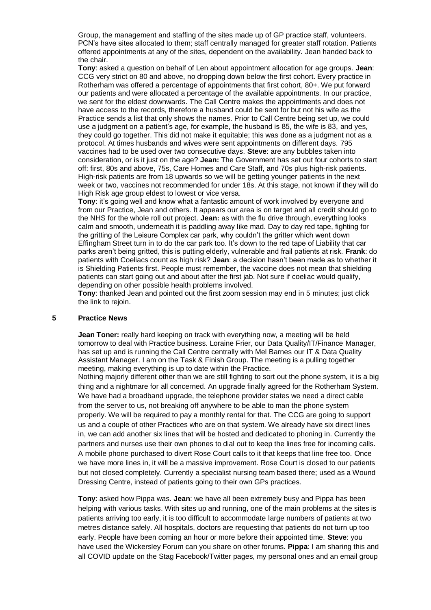Group, the management and staffing of the sites made up of GP practice staff, volunteers. PCN's have sites allocated to them; staff centrally managed for greater staff rotation. Patients offered appointments at any of the sites, dependent on the availability. Jean handed back to the chair.

**Tony**: asked a question on behalf of Len about appointment allocation for age groups. **Jean**: CCG very strict on 80 and above, no dropping down below the first cohort. Every practice in Rotherham was offered a percentage of appointments that first cohort, 80+. We put forward our patients and were allocated a percentage of the available appointments. In our practice, we sent for the eldest downwards. The Call Centre makes the appointments and does not have access to the records, therefore a husband could be sent for but not his wife as the Practice sends a list that only shows the names. Prior to Call Centre being set up, we could use a judgment on a patient's age, for example, the husband is 85, the wife is 83, and yes, they could go together. This did not make it equitable; this was done as a judgment not as a protocol. At times husbands and wives were sent appointments on different days. 795 vaccines had to be used over two consecutive days. **Steve**: are any bubbles taken into consideration, or is it just on the age? **Jean:** The Government has set out four cohorts to start off: first, 80s and above, 75s, Care Homes and Care Staff, and 70s plus high-risk patients. High-risk patients are from 18 upwards so we will be getting younger patients in the next week or two, vaccines not recommended for under 18s. At this stage, not known if they will do High Risk age group eldest to lowest or vice versa.

**Tony:** it's going well and know what a fantastic amount of work involved by everyone and from our Practice, Jean and others. It appears our area is on target and all credit should go to the NHS for the whole roll out project. **Jean:** as with the flu drive through, everything looks calm and smooth, underneath it is paddling away like mad. Day to day red tape, fighting for the gritting of the Leisure Complex car park, why couldn't the gritter which went down Effingham Street turn in to do the car park too. It's down to the red tape of Liability that car parks aren't being gritted, this is putting elderly, vulnerable and frail patients at risk. **Frank**: do patients with Coeliacs count as high risk? **Jean**: a decision hasn't been made as to whether it is Shielding Patients first. People must remember, the vaccine does not mean that shielding patients can start going out and about after the first jab. Not sure if coeliac would qualify, depending on other possible health problems involved.

**Tony**: thanked Jean and pointed out the first zoom session may end in 5 minutes; just click the link to rejoin.

#### **5 Practice News**

**Jean Toner:** really hard keeping on track with everything now, a meeting will be held tomorrow to deal with Practice business. Loraine Frier, our Data Quality/IT/Finance Manager, has set up and is running the Call Centre centrally with Mel Barnes our IT & Data Quality Assistant Manager. I am on the Task & Finish Group. The meeting is a pulling together meeting, making everything is up to date within the Practice.

Nothing majorly different other than we are still fighting to sort out the phone system, it is a big thing and a nightmare for all concerned. An upgrade finally agreed for the Rotherham System. We have had a broadband upgrade, the telephone provider states we need a direct cable from the server to us, not breaking off anywhere to be able to man the phone system properly. We will be required to pay a monthly rental for that. The CCG are going to support us and a couple of other Practices who are on that system. We already have six direct lines in, we can add another six lines that will be hosted and dedicated to phoning in. Currently the partners and nurses use their own phones to dial out to keep the lines free for incoming calls. A mobile phone purchased to divert Rose Court calls to it that keeps that line free too. Once we have more lines in, it will be a massive improvement. Rose Court is closed to our patients but not closed completely. Currently a specialist nursing team based there; used as a Wound Dressing Centre, instead of patients going to their own GPs practices.

**Tony**: asked how Pippa was. **Jean**: we have all been extremely busy and Pippa has been helping with various tasks. With sites up and running, one of the main problems at the sites is patients arriving too early, it is too difficult to accommodate large numbers of patients at two metres distance safely. All hospitals, doctors are requesting that patients do not turn up too early. People have been coming an hour or more before their appointed time. **Steve**: you have used the Wickersley Forum can you share on other forums. **Pippa**: I am sharing this and all COVID update on the Stag Facebook/Twitter pages, my personal ones and an email group